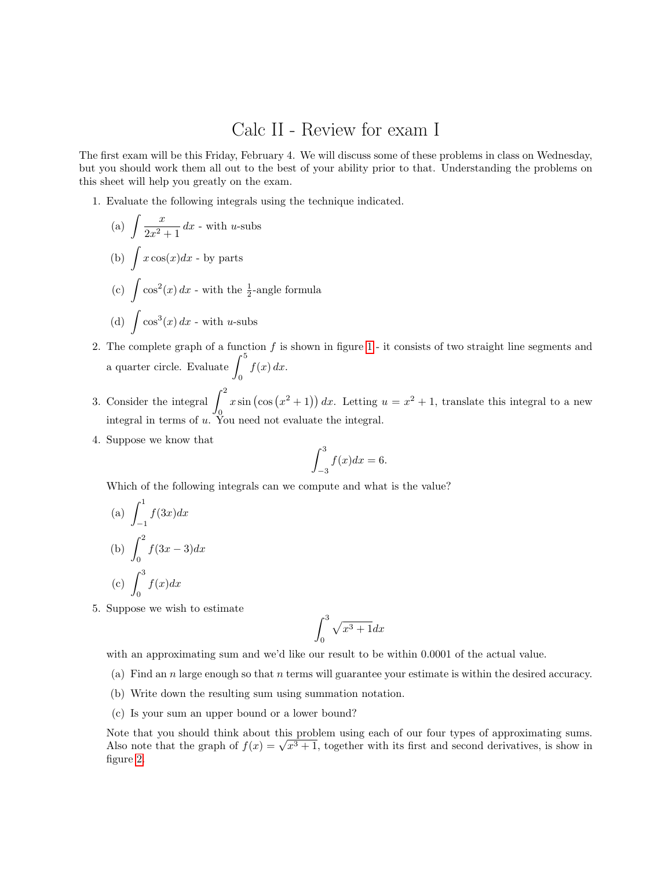## Calc II - Review for exam I

The first exam will be this Friday, February 4. We will discuss some of these problems in class on Wednesday, but you should work them all out to the best of your ability prior to that. Understanding the problems on this sheet will help you greatly on the exam.

1. Evaluate the following integrals using the technique indicated.

(a) 
$$
\int \frac{x}{2x^2 + 1} dx
$$
 - with *u*-subs  
\n(b)  $\int x \cos(x) dx$  - by parts  
\n(c)  $\int \cos^2(x) dx$  - with the  $\frac{1}{2}$ -angle formula  
\n(d)  $\int \cos^3(x) dx$  - with *u*-subs

- 2. The complete graph of a function f is shown in figure [1](#page-2-0) it consists of two straight line segments and a quarter circle. Evaluate  $\int_0^5$ 0  $f(x) dx$ .
- 3. Consider the integral  $\int_0^2$  $\mathbf{0}$  $x \sin (\cos (x^2 + 1)) dx$ . Letting  $u = x^2 + 1$ , translate this integral to a new integral in terms of  $u$ . You need not evaluate the integral.
- 4. Suppose we know that

$$
\int_{-3}^{3} f(x)dx = 6.
$$

Which of the following integrals can we compute and what is the value?

(a) 
$$
\int_{-1}^{1} f(3x) dx
$$
  
\n(b)  $\int_{0}^{2} f(3x - 3) dx$   
\n(c)  $\int_{0}^{3} f(x) dx$ 

5. Suppose we wish to estimate

$$
\int_0^3 \sqrt{x^3 + 1} dx
$$

with an approximating sum and we'd like our result to be within 0.0001 of the actual value.

- (a) Find an n large enough so that n terms will guarantee your estimate is within the desired accuracy.
- (b) Write down the resulting sum using summation notation.
- (c) Is your sum an upper bound or a lower bound?

Note that you should think about this problem using each of our four types of approximating sums. Note that you should think about this problem using each of our four types of approximating sums.<br>Also note that the graph of  $f(x) = \sqrt{x^3 + 1}$ , together with its first and second derivatives, is show in figure [2.](#page-2-1)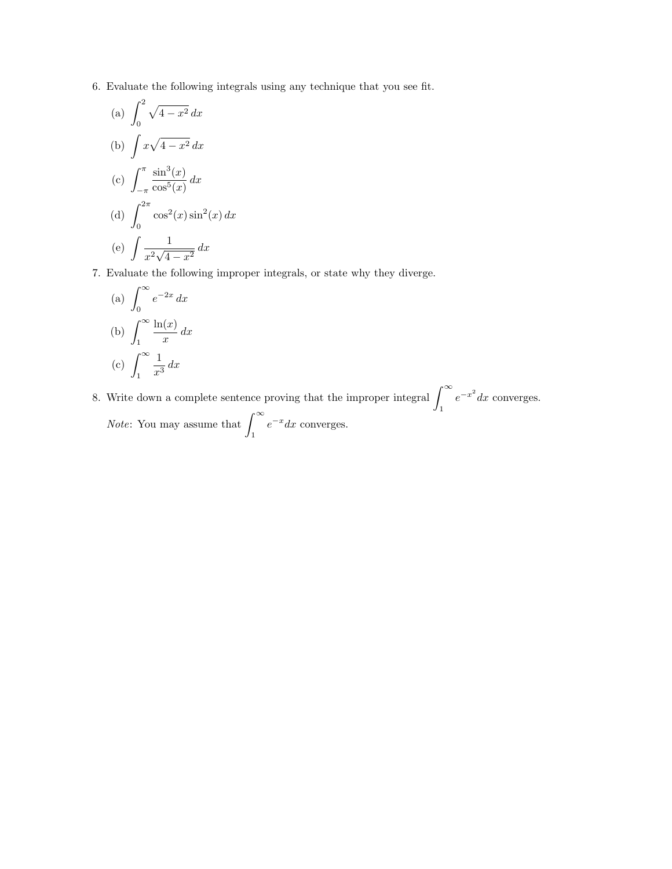6. Evaluate the following integrals using any technique that you see fit.

(a) 
$$
\int_0^2 \sqrt{4 - x^2} \, dx
$$
  
\n(b)  $\int x\sqrt{4 - x^2} \, dx$   
\n(c)  $\int_{-\pi}^{\pi} \frac{\sin^3(x)}{\cos^5(x)} \, dx$   
\n(d)  $\int_0^{2\pi} \cos^2(x) \sin^2(x) \, dx$   
\n(e)  $\int \frac{1}{x^2\sqrt{4 - x^2}} \, dx$ 

7. Evaluate the following improper integrals, or state why they diverge.

(a) 
$$
\int_0^\infty e^{-2x} dx
$$
  
\n(b) 
$$
\int_1^\infty \frac{\ln(x)}{x} dx
$$
  
\n(c) 
$$
\int_1^\infty \frac{1}{x^3} dx
$$

8. Write down a complete sentence proving that the improper integral  $\int_{-\infty}^{\infty}$  $e^{-x^2}dx$  converges.

1

*Note*: You may assume that  $\int_{0}^{\infty}$ 1  $e^{-x}dx$  converges.